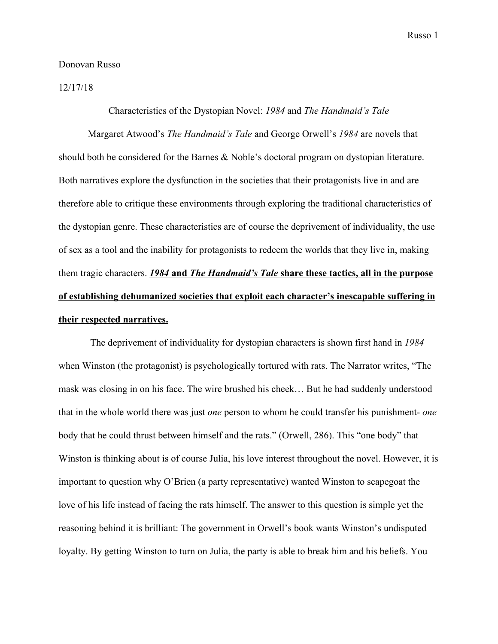## Donovan Russo

12/17/18

## Characteristics of the Dystopian Novel: *1984* and *The Handmaid's Tale*

Margaret Atwood's *The Handmaid's Tale* and George Orwell's *1984* are novels that should both be considered for the Barnes & Noble's doctoral program on dystopian literature. Both narratives explore the dysfunction in the societies that their protagonists live in and are therefore able to critique these environments through exploring the traditional characteristics of the dystopian genre. These characteristics are of course the deprivement of individuality, the use of sex as a tool and the inability for protagonists to redeem the worlds that they live in, making them tragic characters. *1984* **and** *The Handmaid's Tale* **share these tactics, all in the purpose of establishing dehumanized societies that exploit each character's inescapable suffering in their respected narratives.**

 The deprivement of individuality for dystopian characters is shown first hand in *1984* when Winston (the protagonist) is psychologically tortured with rats. The Narrator writes, "The mask was closing in on his face. The wire brushed his cheek… But he had suddenly understood that in the whole world there was just *one* person to whom he could transfer his punishment- *one* body that he could thrust between himself and the rats." (Orwell, 286). This "one body" that Winston is thinking about is of course Julia, his love interest throughout the novel. However, it is important to question why O'Brien (a party representative) wanted Winston to scapegoat the love of his life instead of facing the rats himself. The answer to this question is simple yet the reasoning behind it is brilliant: The government in Orwell's book wants Winston's undisputed loyalty. By getting Winston to turn on Julia, the party is able to break him and his beliefs. You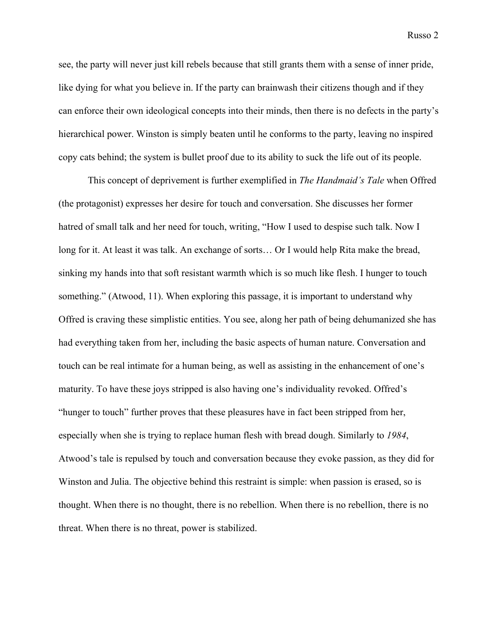see, the party will never just kill rebels because that still grants them with a sense of inner pride, like dying for what you believe in. If the party can brainwash their citizens though and if they can enforce their own ideological concepts into their minds, then there is no defects in the party's hierarchical power. Winston is simply beaten until he conforms to the party, leaving no inspired copy cats behind; the system is bullet proof due to its ability to suck the life out of its people.

This concept of deprivement is further exemplified in *The Handmaid's Tale* when Offred (the protagonist) expresses her desire for touch and conversation. She discusses her former hatred of small talk and her need for touch, writing, "How I used to despise such talk. Now I long for it. At least it was talk. An exchange of sorts… Or I would help Rita make the bread, sinking my hands into that soft resistant warmth which is so much like flesh. I hunger to touch something." (Atwood, 11). When exploring this passage, it is important to understand why Offred is craving these simplistic entities. You see, along her path of being dehumanized she has had everything taken from her, including the basic aspects of human nature. Conversation and touch can be real intimate for a human being, as well as assisting in the enhancement of one's maturity. To have these joys stripped is also having one's individuality revoked. Offred's "hunger to touch" further proves that these pleasures have in fact been stripped from her, especially when she is trying to replace human flesh with bread dough. Similarly to *1984*, Atwood's tale is repulsed by touch and conversation because they evoke passion, as they did for Winston and Julia. The objective behind this restraint is simple: when passion is erased, so is thought. When there is no thought, there is no rebellion. When there is no rebellion, there is no threat. When there is no threat, power is stabilized.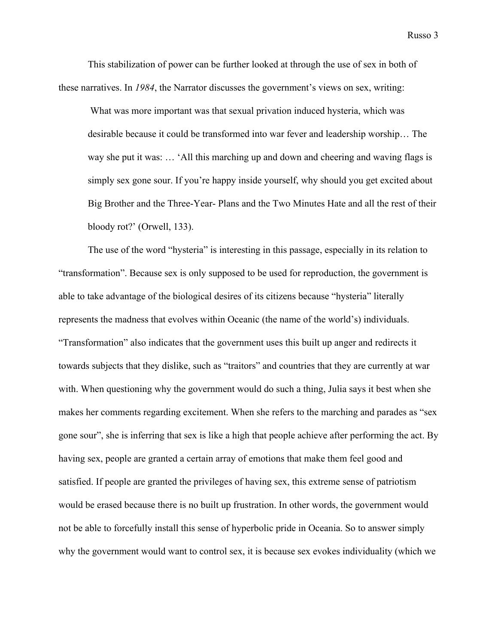This stabilization of power can be further looked at through the use of sex in both of these narratives. In *1984*, the Narrator discusses the government's views on sex, writing:

 What was more important was that sexual privation induced hysteria, which was desirable because it could be transformed into war fever and leadership worship… The way she put it was: … 'All this marching up and down and cheering and waving flags is simply sex gone sour. If you're happy inside yourself, why should you get excited about Big Brother and the Three-Year- Plans and the Two Minutes Hate and all the rest of their bloody rot?' (Orwell, 133).

The use of the word "hysteria" is interesting in this passage, especially in its relation to "transformation". Because sex is only supposed to be used for reproduction, the government is able to take advantage of the biological desires of its citizens because "hysteria" literally represents the madness that evolves within Oceanic (the name of the world's) individuals. "Transformation" also indicates that the government uses this built up anger and redirects it towards subjects that they dislike, such as "traitors" and countries that they are currently at war with. When questioning why the government would do such a thing, Julia says it best when she makes her comments regarding excitement. When she refers to the marching and parades as "sex gone sour", she is inferring that sex is like a high that people achieve after performing the act. By having sex, people are granted a certain array of emotions that make them feel good and satisfied. If people are granted the privileges of having sex, this extreme sense of patriotism would be erased because there is no built up frustration. In other words, the government would not be able to forcefully install this sense of hyperbolic pride in Oceania. So to answer simply why the government would want to control sex, it is because sex evokes individuality (which we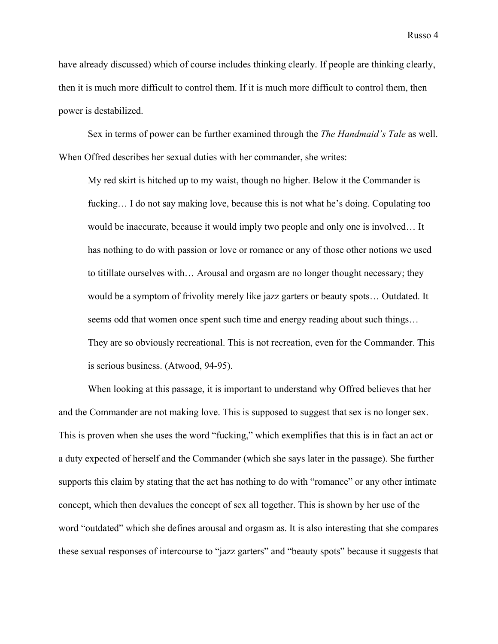have already discussed) which of course includes thinking clearly. If people are thinking clearly, then it is much more difficult to control them. If it is much more difficult to control them, then power is destabilized.

Sex in terms of power can be further examined through the *The Handmaid's Tale* as well. When Offred describes her sexual duties with her commander, she writes:

My red skirt is hitched up to my waist, though no higher. Below it the Commander is fucking… I do not say making love, because this is not what he's doing. Copulating too would be inaccurate, because it would imply two people and only one is involved… It has nothing to do with passion or love or romance or any of those other notions we used to titillate ourselves with… Arousal and orgasm are no longer thought necessary; they would be a symptom of frivolity merely like jazz garters or beauty spots… Outdated. It seems odd that women once spent such time and energy reading about such things… They are so obviously recreational. This is not recreation, even for the Commander. This is serious business. (Atwood, 94-95).

When looking at this passage, it is important to understand why Offred believes that her and the Commander are not making love. This is supposed to suggest that sex is no longer sex. This is proven when she uses the word "fucking," which exemplifies that this is in fact an act or a duty expected of herself and the Commander (which she says later in the passage). She further supports this claim by stating that the act has nothing to do with "romance" or any other intimate concept, which then devalues the concept of sex all together. This is shown by her use of the word "outdated" which she defines arousal and orgasm as. It is also interesting that she compares these sexual responses of intercourse to "jazz garters" and "beauty spots" because it suggests that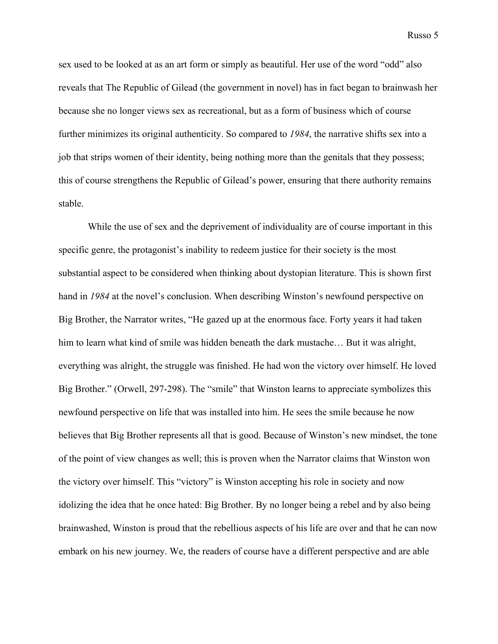Russo 5

sex used to be looked at as an art form or simply as beautiful. Her use of the word "odd" also reveals that The Republic of Gilead (the government in novel) has in fact began to brainwash her because she no longer views sex as recreational, but as a form of business which of course further minimizes its original authenticity. So compared to *1984*, the narrative shifts sex into a job that strips women of their identity, being nothing more than the genitals that they possess; this of course strengthens the Republic of Gilead's power, ensuring that there authority remains stable.

While the use of sex and the deprivement of individuality are of course important in this specific genre, the protagonist's inability to redeem justice for their society is the most substantial aspect to be considered when thinking about dystopian literature. This is shown first hand in *1984* at the novel's conclusion. When describing Winston's newfound perspective on Big Brother, the Narrator writes, "He gazed up at the enormous face. Forty years it had taken him to learn what kind of smile was hidden beneath the dark mustache... But it was alright, everything was alright, the struggle was finished. He had won the victory over himself. He loved Big Brother." (Orwell, 297-298). The "smile" that Winston learns to appreciate symbolizes this newfound perspective on life that was installed into him. He sees the smile because he now believes that Big Brother represents all that is good. Because of Winston's new mindset, the tone of the point of view changes as well; this is proven when the Narrator claims that Winston won the victory over himself. This "victory" is Winston accepting his role in society and now idolizing the idea that he once hated: Big Brother. By no longer being a rebel and by also being brainwashed, Winston is proud that the rebellious aspects of his life are over and that he can now embark on his new journey. We, the readers of course have a different perspective and are able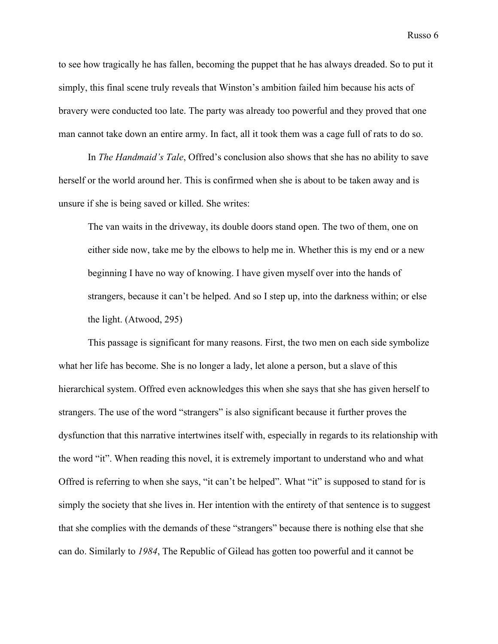to see how tragically he has fallen, becoming the puppet that he has always dreaded. So to put it simply, this final scene truly reveals that Winston's ambition failed him because his acts of bravery were conducted too late. The party was already too powerful and they proved that one man cannot take down an entire army. In fact, all it took them was a cage full of rats to do so.

In *The Handmaid's Tale*, Offred's conclusion also shows that she has no ability to save herself or the world around her. This is confirmed when she is about to be taken away and is unsure if she is being saved or killed. She writes:

The van waits in the driveway, its double doors stand open. The two of them, one on either side now, take me by the elbows to help me in. Whether this is my end or a new beginning I have no way of knowing. I have given myself over into the hands of strangers, because it can't be helped. And so I step up, into the darkness within; or else the light. (Atwood, 295)

This passage is significant for many reasons. First, the two men on each side symbolize what her life has become. She is no longer a lady, let alone a person, but a slave of this hierarchical system. Offred even acknowledges this when she says that she has given herself to strangers. The use of the word "strangers" is also significant because it further proves the dysfunction that this narrative intertwines itself with, especially in regards to its relationship with the word "it". When reading this novel, it is extremely important to understand who and what Offred is referring to when she says, "it can't be helped". What "it" is supposed to stand for is simply the society that she lives in. Her intention with the entirety of that sentence is to suggest that she complies with the demands of these "strangers" because there is nothing else that she can do. Similarly to *1984*, The Republic of Gilead has gotten too powerful and it cannot be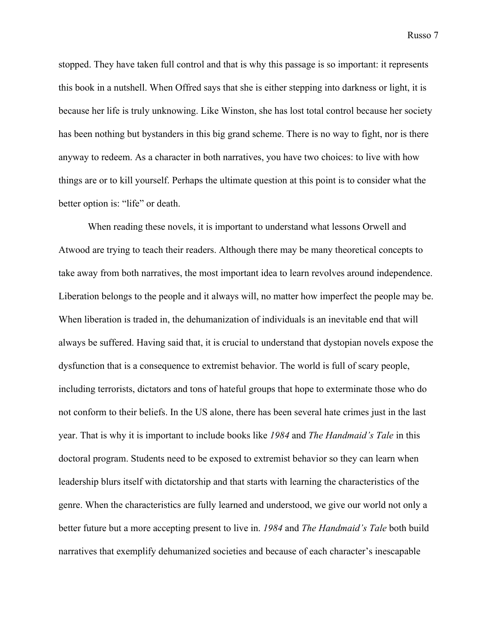Russo 7

stopped. They have taken full control and that is why this passage is so important: it represents this book in a nutshell. When Offred says that she is either stepping into darkness or light, it is because her life is truly unknowing. Like Winston, she has lost total control because her society has been nothing but bystanders in this big grand scheme. There is no way to fight, nor is there anyway to redeem. As a character in both narratives, you have two choices: to live with how things are or to kill yourself. Perhaps the ultimate question at this point is to consider what the better option is: "life" or death.

When reading these novels, it is important to understand what lessons Orwell and Atwood are trying to teach their readers. Although there may be many theoretical concepts to take away from both narratives, the most important idea to learn revolves around independence. Liberation belongs to the people and it always will, no matter how imperfect the people may be. When liberation is traded in, the dehumanization of individuals is an inevitable end that will always be suffered. Having said that, it is crucial to understand that dystopian novels expose the dysfunction that is a consequence to extremist behavior. The world is full of scary people, including terrorists, dictators and tons of hateful groups that hope to exterminate those who do not conform to their beliefs. In the US alone, there has been several hate crimes just in the last year. That is why it is important to include books like *1984* and *The Handmaid's Tale* in this doctoral program. Students need to be exposed to extremist behavior so they can learn when leadership blurs itself with dictatorship and that starts with learning the characteristics of the genre. When the characteristics are fully learned and understood, we give our world not only a better future but a more accepting present to live in. *1984* and *The Handmaid's Tale* both build narratives that exemplify dehumanized societies and because of each character's inescapable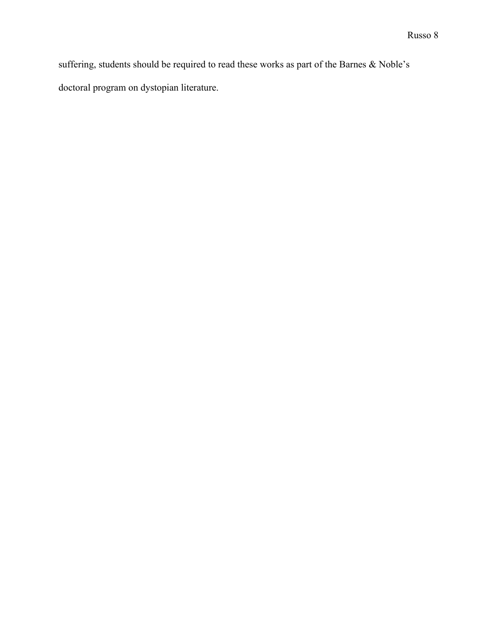suffering, students should be required to read these works as part of the Barnes & Noble's doctoral program on dystopian literature.